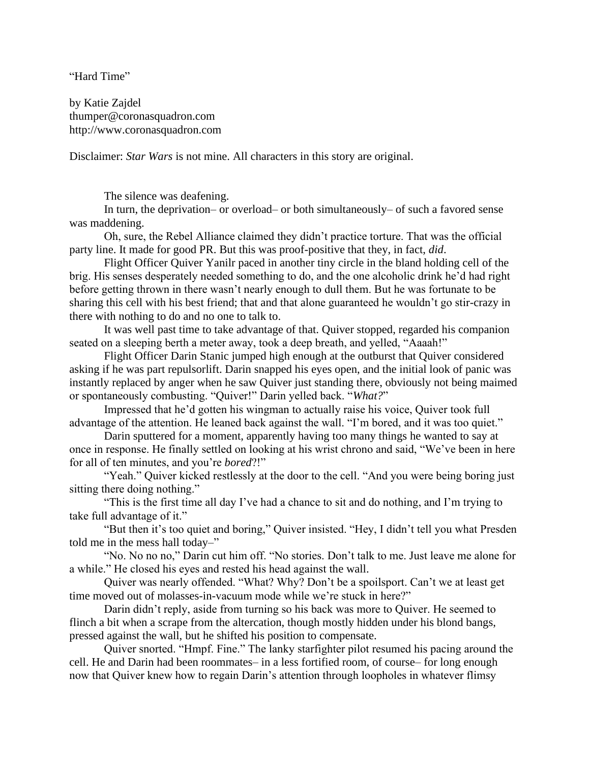"Hard Time"

by Katie Zajdel thumper@coronasquadron.com http://www.coronasquadron.com

Disclaimer: *Star Wars* is not mine. All characters in this story are original.

The silence was deafening.

In turn, the deprivation– or overload– or both simultaneously– of such a favored sense was maddening.

Oh, sure, the Rebel Alliance claimed they didn't practice torture. That was the official party line. It made for good PR. But this was proof-positive that they, in fact, *did*.

Flight Officer Quiver Yanilr paced in another tiny circle in the bland holding cell of the brig. His senses desperately needed something to do, and the one alcoholic drink he'd had right before getting thrown in there wasn't nearly enough to dull them. But he was fortunate to be sharing this cell with his best friend; that and that alone guaranteed he wouldn't go stir-crazy in there with nothing to do and no one to talk to.

It was well past time to take advantage of that. Quiver stopped, regarded his companion seated on a sleeping berth a meter away, took a deep breath, and yelled, "Aaaah!"

Flight Officer Darin Stanic jumped high enough at the outburst that Quiver considered asking if he was part repulsorlift. Darin snapped his eyes open, and the initial look of panic was instantly replaced by anger when he saw Quiver just standing there, obviously not being maimed or spontaneously combusting. "Quiver!" Darin yelled back. "*What?*"

Impressed that he'd gotten his wingman to actually raise his voice, Quiver took full advantage of the attention. He leaned back against the wall. "I'm bored, and it was too quiet."

Darin sputtered for a moment, apparently having too many things he wanted to say at once in response. He finally settled on looking at his wrist chrono and said, "We've been in here for all of ten minutes, and you're *bored*?!"

"Yeah." Quiver kicked restlessly at the door to the cell. "And you were being boring just sitting there doing nothing."

"This is the first time all day I've had a chance to sit and do nothing, and I'm trying to take full advantage of it."

"But then it's too quiet and boring," Quiver insisted. "Hey, I didn't tell you what Presden told me in the mess hall today–"

"No. No no no," Darin cut him off. "No stories. Don't talk to me. Just leave me alone for a while." He closed his eyes and rested his head against the wall.

Quiver was nearly offended. "What? Why? Don't be a spoilsport. Can't we at least get time moved out of molasses-in-vacuum mode while we're stuck in here?"

Darin didn't reply, aside from turning so his back was more to Quiver. He seemed to flinch a bit when a scrape from the altercation, though mostly hidden under his blond bangs, pressed against the wall, but he shifted his position to compensate.

Quiver snorted. "Hmpf. Fine." The lanky starfighter pilot resumed his pacing around the cell. He and Darin had been roommates– in a less fortified room, of course– for long enough now that Quiver knew how to regain Darin's attention through loopholes in whatever flimsy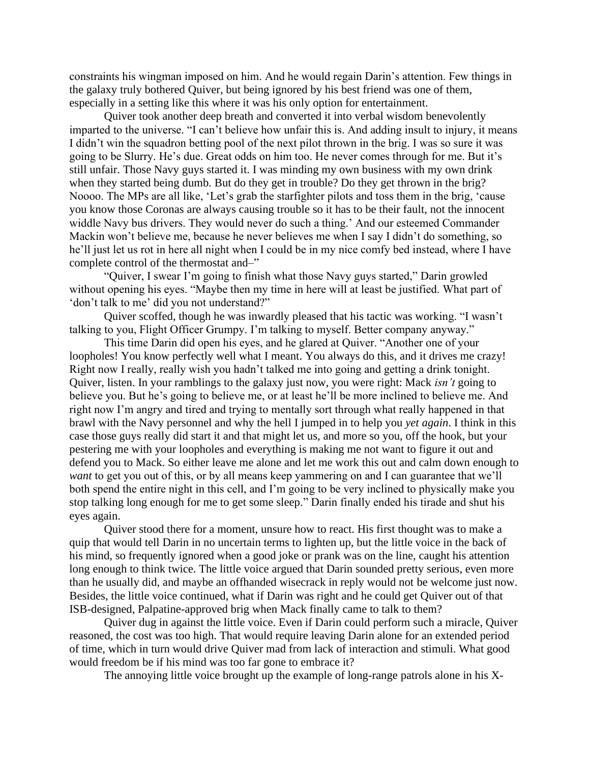constraints his wingman imposed on him. And he would regain Darin's attention. Few things in the galaxy truly bothered Quiver, but being ignored by his best friend was one of them, especially in a setting like this where it was his only option for entertainment.

Quiver took another deep breath and converted it into verbal wisdom benevolently imparted to the universe. "I can't believe how unfair this is. And adding insult to injury, it means I didn't win the squadron betting pool of the next pilot thrown in the brig. I was so sure it was going to be Slurry. He's due. Great odds on him too. He never comes through for me. But it's still unfair. Those Navy guys started it. I was minding my own business with my own drink when they started being dumb. But do they get in trouble? Do they get thrown in the brig? Noooo. The MPs are all like, 'Let's grab the starfighter pilots and toss them in the brig, 'cause you know those Coronas are always causing trouble so it has to be their fault, not the innocent widdle Navy bus drivers. They would never do such a thing.' And our esteemed Commander Mackin won't believe me, because he never believes me when I say I didn't do something, so he'll just let us rot in here all night when I could be in my nice comfy bed instead, where I have complete control of the thermostat and–"

"Quiver, I swear I'm going to finish what those Navy guys started," Darin growled without opening his eyes. "Maybe then my time in here will at least be justified. What part of 'don't talk to me' did you not understand?"

Quiver scoffed, though he was inwardly pleased that his tactic was working. "I wasn't talking to you, Flight Officer Grumpy. I'm talking to myself. Better company anyway."

This time Darin did open his eyes, and he glared at Quiver. "Another one of your loopholes! You know perfectly well what I meant. You always do this, and it drives me crazy! Right now I really, really wish you hadn't talked me into going and getting a drink tonight. Quiver, listen. In your ramblings to the galaxy just now, you were right: Mack *isn't* going to believe you. But he's going to believe me, or at least he'll be more inclined to believe me. And right now I'm angry and tired and trying to mentally sort through what really happened in that brawl with the Navy personnel and why the hell I jumped in to help you *yet again*. I think in this case those guys really did start it and that might let us, and more so you, off the hook, but your pestering me with your loopholes and everything is making me not want to figure it out and defend you to Mack. So either leave me alone and let me work this out and calm down enough to *want* to get you out of this, or by all means keep yammering on and I can guarantee that we'll both spend the entire night in this cell, and I'm going to be very inclined to physically make you stop talking long enough for me to get some sleep." Darin finally ended his tirade and shut his eyes again.

Quiver stood there for a moment, unsure how to react. His first thought was to make a quip that would tell Darin in no uncertain terms to lighten up, but the little voice in the back of his mind, so frequently ignored when a good joke or prank was on the line, caught his attention long enough to think twice. The little voice argued that Darin sounded pretty serious, even more than he usually did, and maybe an offhanded wisecrack in reply would not be welcome just now. Besides, the little voice continued, what if Darin was right and he could get Quiver out of that ISB-designed, Palpatine-approved brig when Mack finally came to talk to them?

Quiver dug in against the little voice. Even if Darin could perform such a miracle, Quiver reasoned, the cost was too high. That would require leaving Darin alone for an extended period of time, which in turn would drive Quiver mad from lack of interaction and stimuli. What good would freedom be if his mind was too far gone to embrace it?

The annoying little voice brought up the example of long-range patrols alone in his X-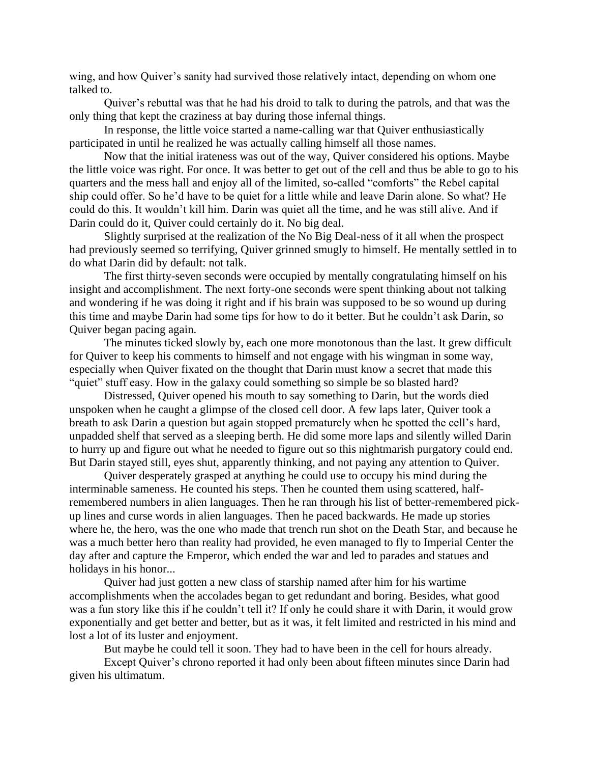wing, and how Quiver's sanity had survived those relatively intact, depending on whom one talked to.

Quiver's rebuttal was that he had his droid to talk to during the patrols, and that was the only thing that kept the craziness at bay during those infernal things.

In response, the little voice started a name-calling war that Quiver enthusiastically participated in until he realized he was actually calling himself all those names.

Now that the initial irateness was out of the way, Quiver considered his options. Maybe the little voice was right. For once. It was better to get out of the cell and thus be able to go to his quarters and the mess hall and enjoy all of the limited, so-called "comforts" the Rebel capital ship could offer. So he'd have to be quiet for a little while and leave Darin alone. So what? He could do this. It wouldn't kill him. Darin was quiet all the time, and he was still alive. And if Darin could do it, Quiver could certainly do it. No big deal.

Slightly surprised at the realization of the No Big Deal-ness of it all when the prospect had previously seemed so terrifying, Quiver grinned smugly to himself. He mentally settled in to do what Darin did by default: not talk.

The first thirty-seven seconds were occupied by mentally congratulating himself on his insight and accomplishment. The next forty-one seconds were spent thinking about not talking and wondering if he was doing it right and if his brain was supposed to be so wound up during this time and maybe Darin had some tips for how to do it better. But he couldn't ask Darin, so Quiver began pacing again.

The minutes ticked slowly by, each one more monotonous than the last. It grew difficult for Quiver to keep his comments to himself and not engage with his wingman in some way, especially when Quiver fixated on the thought that Darin must know a secret that made this "quiet" stuff easy. How in the galaxy could something so simple be so blasted hard?

Distressed, Quiver opened his mouth to say something to Darin, but the words died unspoken when he caught a glimpse of the closed cell door. A few laps later, Quiver took a breath to ask Darin a question but again stopped prematurely when he spotted the cell's hard, unpadded shelf that served as a sleeping berth. He did some more laps and silently willed Darin to hurry up and figure out what he needed to figure out so this nightmarish purgatory could end. But Darin stayed still, eyes shut, apparently thinking, and not paying any attention to Quiver.

Quiver desperately grasped at anything he could use to occupy his mind during the interminable sameness. He counted his steps. Then he counted them using scattered, halfremembered numbers in alien languages. Then he ran through his list of better-remembered pickup lines and curse words in alien languages. Then he paced backwards. He made up stories where he, the hero, was the one who made that trench run shot on the Death Star, and because he was a much better hero than reality had provided, he even managed to fly to Imperial Center the day after and capture the Emperor, which ended the war and led to parades and statues and holidays in his honor...

Quiver had just gotten a new class of starship named after him for his wartime accomplishments when the accolades began to get redundant and boring. Besides, what good was a fun story like this if he couldn't tell it? If only he could share it with Darin, it would grow exponentially and get better and better, but as it was, it felt limited and restricted in his mind and lost a lot of its luster and enjoyment.

But maybe he could tell it soon. They had to have been in the cell for hours already.

Except Quiver's chrono reported it had only been about fifteen minutes since Darin had given his ultimatum.